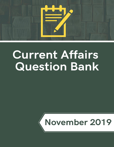

# **Current Affairs Question Bank**

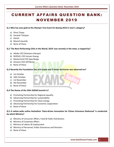# CURRENT AFFAIRS QUES TION BANK: NOVEMBER 2019

# **Q.1 Who has won gold at the Olympic Test Event for Boxing 2019 in men's category?**

- a) Shiva Thapa
- b) Sanatali Toltayev
- c) Ashish
- d) Manish Kaushik
- e) None of these

# **Q.2 'The Best-Performing CEOs in the World, 2019' was recently in the news, is topped by?**

- a) Adobe CEO Shantanu Narayen
- b) NVIDIA's CEO Jensen Huang
- c) MasterCard CEO Ajay Banga
- d) Amazon CEO Jeff Bezos
- e) None of these

# **Q.3 Recently the Foundation Day of 6 states and 3 Union territories was observed on?**

- a) 1st October
- b) 10th October
- c) 1st November
- d) 5th November
- e) None of these

# **Q.4 The theme of the 35th ASEAN Summit is?**

- a) Promoting Partnership for Regional equality
- b) Advancing Partnership for sustainability
- c) Promoting Partnership for Clean energy
- d) Advancing Partnership for Economic cooperation
- e) None of these

# **Q.5 A nation-wide online Hackathon 'Data-driven Innovation for Citizen Grievance Redressal' is conducted by which Ministry?**

- a) Ministry of Consumer Affairs, Food & Public Distribution
- b) Ministry of Corporate Affairs
- c) Ministry of Labour & Employment
- d) Ministry of Personnel, Public Grievances and Pensions
- e) None of these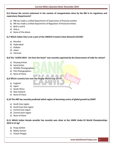# **Q.6 Choose the correct statement in the context of reorganisation done by the RBI in its regulatory and supervisory Departments?**

- a) RBI has made a unified Department of Supervision of financial entities
- b) RBI has made a unified Department of Regulation of financial entities
- c) Both a and b
- d) Only a
- e) None of the above

# **Q.7 Which Indian City is not a part of the UNESCO Creative Cities Network (UCCN)?**

- a) Mumbai
- b) Hyderabad
- c) Kolkata
- d) Jaipur
- e) Varanasi

# **Q.8 The "eCAPA 2019 - Art from the Heart" was recently organised by the Government of India for whom?**

- a) Divyang Artists
- b) Sand Artists
- c) Wildlife Photographers
- d) Film Photographers
- e) None of these

# **Q.9 Which country has won the Rugby World Cup 2019?**

- a) England
- b) Japan
- c) South Africa
- d) New Zealand
- e) None of these

# **Q.10 The IMF has recently predicted which region of becoming centre of global growth by 2040?**

- a) South Asia region
- b) South East Asia region
- c) Central East region
- d) Central west region
- e) None of these

# **Q.11 Which Indian female wrestler has recently won silver at the UWW Under-23 World Championships 2019 in 51 kg?**

- a) Pooja Gehlot
- b) Babita Kumari
- c) Vinesh Phogat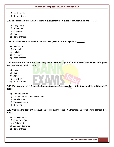- d) Sakshi Malik
- e) None of these

**Q.12 The exercise Dustlik-2019, is the first-ever joint military exercise between India and \_\_\_\_\_?**

- a) Bangladesh
- b) Uzbekistan
- c) Singapore
- d) France
- e) None of these

**Q.13 The 5th India International Science Festival (IISF) 2019, is being held at\_\_\_\_\_\_\_?**

- a) New Delhi
- b) Chennai
- c) Kolkata
- d) Lucknow
- e) None of these

**Q.14 Which country has hosted the Shanghai Cooperation Organization Joint Exercise on Urban Earthquake Search & Rescue (SCOJtEx-2019)?**

- a) India
- b) China
- c) Japan
- d) Singapore
- e) None of these

**Q.15 Who has won the "Lifetime Achievement Award – Foreign Artiste" at the Golden Jubilee edition of IFFI 2019?**

- a) Roman Polanski
- b) Isabelle Anne Madeleine Huppert
- c) Isabelle Adjani
- d) Vanessa Paradis
- e) None of these

**Q.16 Who won the 'Icon of Golden Jubilee of IFFI' award at the 50th International Film Festival of India (IFFI) 2019?**

- a) Akshay Kumar
- b) Shah Rukh Khan
- c) S Rajinikanth
- d) Amitabh Bachchan
- e) None of these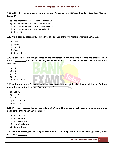# **Q.17 Which documentary was recently in the news for winning the BAFTA and Scotland Awards at Glasgow, Scotland?**

- a) Documentary on Real Ladakh Football Club
- b) Documentary on Real India Football Club
- c) Documentary on Real Kashmir Football Club
- d) Documentary on Real J&K Football Club
- e) None of these

# **Q.18 Which country has recently allowed the sale and use of the first Alzheimer's medicine GV-971?**

- a) India
- b) Scotland
- c) Ireland
- d) China
- e) None of these

**Q.19 As per the recent RBI's guidelines on the compensation of whole-time directors and chief executive officers, \_\_\_\_\_\_\_\_\_\_% of the variable pay will be paid in non-cash if the variable pay is above 200% of the fixed pay?**

- a) 50%
- b) 56%
- c) 67%
- d) 70%
- e) None of these

**Q.20 Which among the following apps has been recently launched by the Finance Minister to facilitate monitoring and faster clearance of Customs goods?**

- a) ICEDASH
- b) ATITHI
- c) BRIK
- d) Only a and b
- e) Only b and c

**Q.21 Which sportsperson has claimed India's 10th Tokyo Olympic quota in shooting by winning the bronze medal at the 14th Asian Championships?**

- a) Deepak Kumar
- b) Manu Bhaker
- c) Abhinav Bindra
- d) Elavenil Valarivan
- e) None of these

**Q.22 The 15th meeting of Governing Council of South Asia Co-operative Environment Programme (SACEP) was held in \_\_\_\_\_\_\_\_?**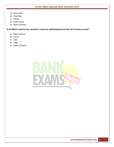- a) New Delhi
- b) Colombo
- c) Dhaka
- d) Kathmandu
- e) None of these

**Q.23 Which country was recently in news for withdrawing from the Paris climate accord?**

- a) New Zealand
- b) China
- c) USA
- d) India
- e) None of these

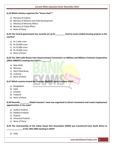#### **Q.24 Which ministry organises the "Hunar Haat"?**

- a) Ministry of Culture
- b) Ministry of Women and Child Development
- c) Ministry of Minority Affairs
- d) Ministry of Tribal Affairs
- e) None of these

# **Q.25 The Central government has recently set up Rs \_\_\_\_\_\_\_\_ fund to revive stalled housing projects in the country?**

- a) Rs 1 lakh crore
- b) Rs 50,000 crore
- c) Rs 25,000 crore
- d) Rs 10,000 crore
- e) None of these

**Q.26 The 19th India-Russia Inter-Governmental Commission on Military and Military-Technical Cooperation (IRIGC-M&MTC) meeting was held in \_\_\_\_\_\_\_\_?**

- a) New Delhi
- b) Moscow
- c) Saint Petersburg
- d) Lucknow
- e) None of these

**Q.27 Which country hosted the first ever BIMSTEC ports Conclave 2019?**

- a) Bangladesh
- b) India
- c) Srilanka
- d) Thailand
- e) None of these

#### **Q.28 Recently \_\_\_\_\_\_\_\_ Global investors' meet was organised to attract investment and create employment opportunities in the state?**

- a) Andhra Pradesh
- b) Madhya Pradesh
- c) Gujarat
- d) Himachal Pradesh
- e) None of these

**Q.29 The chairmanship of the Indian Ocean Rim Association (IORA) was transferred from South Africa to \_\_\_\_\_\_\_\_\_\_\_\_\_\_ at the 19th IORA meeting in 2019?**

a) India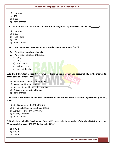- b) Indonesia
- c) UAE
- d) Srilanka
- e) None of these

**Q.30 The maritime Exercise 'Samudra Shakti' is jointly organised by the Navies of India and \_\_\_\_\_\_\_?**

- a) Indonesia
- b) Srilanka
- c) Bangladesh
- d) France
- e) None of these

#### **Q.31 Choose the correct statement about Prepaid Payment Instrument (PPIs)?**

- **1.** PPIs facilitate purchase of goods
- **2.** PPIs facilitate purchase of Services
	- a) Only 1
	- b) Only 2
	- c) Both 1 and 2
	- d) Neither 1 nor 2
	- e) None of the above

# **Q.32 The DIN system is recently in news for bringing transparency and accountability in the indirect tax administration. It stands for\_\_\_\_\_?**

- a) Departmental Identification Number
- b) Direct Identification Number
- c) Documentation Identification Number
- d) Divisional Identification Number
- e) None of these

# **Q.33 What is the theme of the 27th Conference of Central and State Statistical Organizations (COCSSO) 2019?**

- a) Quality Assurance in Official Statistics
- b) Sustainable Development Goals (SDGs)
- c) Agriculture and Farmers' Welfare
- d) Quality Education
- e) None of these

**Q.34 Which Sustainable Development Goal (SDG) target calls for reduction of the global MMR to less than 70 maternal deaths per 100 000 live births by 2030?**

- a) SDG 2
- b) SDG 3.1
- c) SDG 5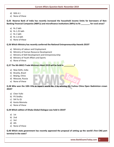- d) SDG 4.1
- e) None of these

**Q.35 Reserve Bank of India has recently increased the household income limits for borrowers of Non-Banking Financial Companies (NBFCs) and microfinance institutions (MFIs) to Rs \_\_\_\_\_\_\_\_ for rural areas?**

- a) Rs 2 lakh
- b) Rs 1.25 lakh
- c) Rs 1 lakh
- d) Rs 1.6 lakh
- e) None of these

# **Q.36 Which Ministry has recently conferred the National Entrepreneurship Awards 2019?**

- a) Ministry of Labour and Employment
- b) Ministry of Human Resource Development
- c) Ministry of Skill Development and Entrepreneurship
- d) Ministry of Youth Affairs and Sports
- e) None of these

# **Q.37 The 9th BRICS Trade Ministers Meet 2019 will be held in**

- a) New Delhi, India
- b) Brasilia, Brazil
- c) Beijing, China
- d) Moscow, Russia
- e) None of these

**Q.38 Who won the 10th title as Japan's world No. 1 by winning the Fuzhou China Open Badminton crown 2019?**

- a) Chen Yufei
- b) PV Sindhu
- c) SHI Yu Qi
- d) Kento Momota
- e) None of these

**Q.39 Which edition of Dhaka Global Dialogue was held in 2019?**

- a) 1st
- b) 2nd
- c) 3rd
- d) 4th
- e) None of these

**Q.40 Which state government has recently approved the proposal of setting up the world's first CNG port terminal in the state?**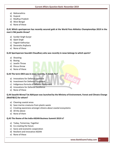- a) Maharashtra
- b) Gujarat
- c) Madhya Pradesh
- d) West Bengal
- e) None of these

**Q.41 Which sportsperson has recently secured gold at the World Para Athletics Championships 2019 in the men's F46 javelin throw?**

- a) Sundar Singh Gurjar
- b) Ajeet Singh
- c) Yogesh Kathuniya
- d) Devendra Jhajharia
- e) None of these

# **Q.42 Sportsperson Saurabh Chaudhary who was recently in news belongs to which sports?**

- a) Shooting
- b) Boxing
- c) Javelin Throw
- d) Discus throw
- e) None of these

# **Q.43 The term iDEX was in news recently, it stands for?**

- a) Innovations for Defence Expertise
- b) Investment for Defence Equipment
- c) Indigenous formula of Defence Equipment
- d) Innovations for Defence Excellence
- e) None of these

# **Q.44 Swachh-Nirmal Tat Abhiyaan was launched by the Ministry of Environment, Forest and Climate Change (MoEF&CC) for whom?**

- a) Cleaning coastal areas
- b) Save marine creatures from plastic waste
- c) Creating awareness amongst citizens about coastal ecosystems
- d) All the above
- e) None of them

# **Q.45 The theme of the India-ASEAN Business Summit 2019 is?**

- a) Today, Tomorrow, Together
- b) Co-creating the future
- c) Socio and economic cooperation
- d) Resilient and innovative ASEAN
- e) None of these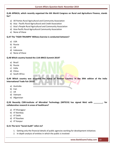# **Q.46 APRACA, which recently organised the 6th World Congress on Rural and Agriculture Finance, stands for?**

- a) All Parties Rural Agricultural and Community Association
- b) Asia Pacific Rural Agricultural and Credit Association
- c) Asia's People Rural Agricultural and Community Association
- d) Asia-Pacific Rural Agricultural Community Association
- e) None of these

# **Q.47 The 'TIGER TRIUMPH' Military Exercise is conducted between?**

- a) USA
- b) Russia
- c) UK
- d) Indonesia
- e) None of these

# **Q.48 Which country hosted the 11th BRICS Summit 2019?**

- a) Brazil
- b) Russia
- c) India
- d) China
- e) South Africa

**Q.49 Which country was accorded the status of 'Partner Country' in the 39th edition of the India International Trade Fair 2019?**

- a) Australia
- b) Iran
- c) UK
- d) Vietnam
- e) Afganistan

**Q.50 Recently CSIR-Institute of Microbial Technology (IMTECH) has signed MoU with \_\_\_\_\_\_\_\_, for collaborative research in areas of healthcare?**

- a) IIT Kharagpur
- b) IIT Bombay
- c) IIT Delhi
- d) IIT Roorkee
- e) IIT Kanpur

# **Q.51 The term "Social Audit" refers to?**

- 1. Getting only the financial details of public agencies working for development initiatives
- 2. In-depth analysis of entities in which the public is involved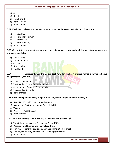- a) Only 1
- b) Only 2
- c) Both 1 and 2
- d) Neither 1 nor 2
- e) None of them

**Q.52 Which joint military exercise was recently conducted between the Indian and French Army?**

- a) Exercise Dustlik
- b) Exercise Tiger Triumph
- c) Exercise Shakti
- d) Exercise Yudh Abyas
- e) None of these

# **Q.53 Which state government has launched the e-Ganna web portal and mobile application for sugarcane farmers of the state?**

- a) Maharashtra
- b) Andhra Pradesh
- c) Odisha
- d) Uttar Pradesh
- e) Jharkhand

**Q.54 \_\_\_\_\_\_\_\_\_\_\_ has recently won the Golden Leaf Award in the Most Impressive Public Service Initiative category for the year 2019?**

- a) Indian Coffee Board
- b) The Board of Control for Cricket in India
- c) Securities and Exchange Board of India
- d) Tobacco Board of India
- e) None of these

# **Q.55 Which among the following is a part of the largest FDI Project of Indian Railways?**

- a) Hitachi Rail S.P.A (Formerly Ansaldo Breda)
- b) Madhepura Electric Locomotive Pvt. Ltd. (MELPL)
- c) Valente
- d) Diesel Loco Works(DLW)
- e) None of these

# **Q.56 The Global Cooling Prize is recently in the news, is organised by?**

- a) The Office of Science and Technology Policy (USA)
- b) Department of Science and Technology (India)
- c) Ministry of Higher Education, Research and Innovation (France)
- d) Ministry for Industry, Science and Technology (Australia)
- e) None of these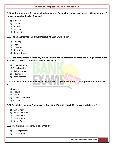**Q.57 Which among the following initiatives aims at "Improving learning outcomes at Elementary level" through Integrated Teacher Trainings?**

- a) SHIKSHA
- b) SMRITI
- c) NISHTHA
- d) ABHYAS
- e) None of these

**Q.58 The China International Travel Mart (CITM) 2019 was held at?**

- a) Kunming
- b) Beijing
- c) Shanghai
- d) Hong Kong
- e) None of these

**Q.59 For which purpose the Ministry of Human Resource Development launched the draft guidelines at the 40th UNESCO General Conference 2019 held in Paris?**

- a) Smart Learning
- b) Tech Learning
- c) Digital Learning
- d) E-learning
- e) None of these

**Q.60 The first ever International Buyer Seller Meet on Agriculture & Horticulture produce is recently held at?**

- a) Assam
- b) Tripura
- c) Sikkim
- d) Arunachal Pradesh
- e) Odisha

**Q.61 The 8th International Conference on Agricultural Statistics (ICAS) 2019 was recently held at?**

- a) Rome, Italy
- b) New Delhi, India
- c) Brasilia, Brazil
- d) Paris, France
- e) None of these

# **Q.62 The National Press Day is observed on?**

- a) 16th September
- b) 11th October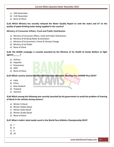- c) 16th November
- d) 11th November
- e) None of these

**Q.63 Which Ministry has recently released the Water Quality Report to rank the states and UT on the quality of piped drinking water being supplied in the country?**

# **Ministry of Consumer Affairs, Food and Public Distribution**

- a) Ministry of Consumer Affairs, Food and Public Distribution
- b) Ministry of Drinking Water & Sanitation
- c) Ministry of Environment, Forest & Climate Change
- d) Ministry of Jal Shakti
- e) None of these

# **Q.64 The SAANS campaign is recently launched by the Ministry of for Health & Family Welfare to fight against\_\_\_\_\_\_?**

- a) Asthma
- b) Hepatitis
- c) Pneumonia
- d) AIDS
- e) None of these

**Q.65 Which country chaired the 6th ASEAN Defence Ministers' Meeting-Plus (ADMM-Plus) 2019?**

- a) India
- b) China
- c) New Zealand
- d) Thailand
- e) Vietnam

# **Q.66 Which among the following was recently launched by the government to avoid the problem of freezing of diesel in the vehicles during winters?**

- a) Winter-X Diesel
- b) Winter-Stable Diesel
- c) Winter-State Diesel
- d) Winter-Grade Diesel
- e) None of these

#### **Q.67 What is India's total medal count in the World Para Athletics Championship 2019?**

- a) 7
- b) 8
- c) 9
- d) 10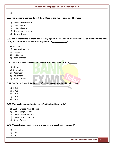e) 11

#### **Q.68 The Maritime Exercise Za'ir-Al-Bahr (Roar of the Sea) is conducted between?**

- a) India and Uzbekistan
- b) India and Iran
- c) India and Qatar
- d) Uzbekistan and Yemen
- e) None of these

**Q.69 The Government of India has recently signed a \$ 91 million loan with the Asian Development Bank (ADB) for Comprehensive Water Management in \_\_\_\_\_\_\_\_\_\_\_\_\_?**

- a) Odisha
- b) Madhya Pradesh
- c) Karnataka
- d) Telangana
- e) None of these

#### **Q.70 The World Heritage Week 2019 was observed in the month of\_\_\_\_\_\_\_?**

- a) October
- b) September
- c) December
- d) November
- e) None of these

**Q.71 The Target Olympic Podium (TOP) Scheme was formulated in which year?**

- a) 2010
- b) 2012
- c) 2014
- d) 2016
- e) 2018

# **Q.72 Who has been appointed as the 47th Chief Justice of India?**

- a) Justice Sharad Arvind Bobde
- b) Justice Sanjay Yadav
- c) Justice Govind Mathur
- d) Justice Dr. Ravi Ranjan
- e) None of these

# **Q.73 What is India's rank in terms of crude steel production in the world?**

- a) 1st
- b) 2nd
- c) 3rd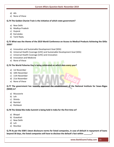- d) 4th
- e) None of these

#### **Q.74 The Golden Chariot Train is the initiative of which state government?**

- a) New Delhi
- b) Madhya Pradesh
- c) Gujarat
- d) Karnataka
- e) Tamil Nadu

# **Q.75 What was the theme of the 2019 World Conference on Access to Medical Products Achieving the SDGs 2030?**

- a) Innovation and Sustainable Development Goal (SDG)
- b) Universal Health Coverage (UHC) and Sustainable Development Goal (SDG)
- c) Universal Health Coverage (UHC) and innovation
- d) Innovation and Medicine
- e) None of these

# **Q.76 The World Fisheries Day is being celebrated on which date every year?**

- a) 1st November
- b) 10th November
- c) 11th November
- d) 21st November
- e) None of these

# **Q.77 The government has recently approved the establishment of the National Institute for Sowa-Rigpa (NISR) in?**

- a) Mussoorie
- b) Leh
- c) Shimla
- d) Nainital
- e) Rishikesh

#### **Q.78 The Global Bio-India Summit is being held in India for the first time at?**

- a) Bhopal
- b) Guwahati
- c) New Delhi
- d) Leh
- e) Mumbai

**Q.79 As per the SEBI's latest disclosure norms for listed companies, in case of default in repayment of loans beyond 30 days, the listed companies will have to disclose the default's fact within \_\_\_\_\_\_\_?**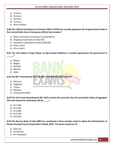- a) 12 hours
- b) 24 hours
- c) 48 hours
- d) 72 hours
- e) None of these

**Q.80 The Cabinet Committee on Economic Affairs (CCEA) has recently approved sale of government stake in five Central Public Sector Enterprises (CPSEs) that includes?**

- a) Bharat Petroleum Corporation Limited (BPCL)
- b) Shipping Corporation of India (SCI)
- c) Container Corporation of India (CONCOR)
- d) Only a and b
- e) All a, b and c

**Q.81 The 11th edition of Agro-Vision, an Agro-based Exhibition is recently organized by the government in \_\_\_\_\_\_?**

- a) Bhopal
- b) Nagpur
- c) Mumbai
- d) Nainital
- e) Jaipur

**Q.82 The 8th "International Tourism Mart" (ITM) 2019 will be held at?**

- a) Mizoram
- b) Nagaland
- c) Tripura
- d) Manipur
- e) Arunachal Pradesh

**Q.83 The Chit Funds (Amendment) Bill, 2019 contains the provision that the prescribed ceiling of aggregate chit fund amount for individuals will be\_\_\_\_\_?**

- a) Rs 1 lakh
- b) Rs 2 lakh
- c) Rs 3 lakh
- d) Rs 4 lakh
- e) Rs 6 lakh

**Q.84 The Reserve Bank of India (RBI) has constituted a three-member panel to advise the Administrator of Dewan Housing Finance Corporation Limited, DHFL. The panel comprises of?**

- a) Rajiv Lall
- b) N S Kannan
- c) N S Venkatesh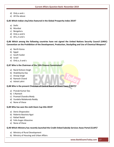- d) Only a and c
- e) All the above

#### **Q.85 Which Indian city/cities featured in the Global Prosperity Index 2019?**

- a) Delhi
- b) Mumbai
- c) Bengaluru
- d) Only a and b
- e) All a, b and c

**Q.86 Which among the following countries have not signed the United Nations Security Council (UNSC) Convention on the Prohibition of the Development, Production, Stockpiling and Use of Chemical Weapons?**

- a) North Korea
- b) Egypt
- c) South Sudan
- d) Israel
- e) Only a, b and c

# **Q.87 Who is the Chairman of the 15th Finance Commission?**

- a) Nand Kishore Singh
- b) Shaktikanta Das
- c) Anoop Singh
- d) Ramesh Chand
- e) Ashok Lahiri

#### **Q.88 Who is the present Chairman of Central Board of Direct Taxes (CBDT)?**

- a) Pranab Kumar Das
- b) S Ramesh
- c) Pramod Chandra Mody
- d) Vundela Malakonda Reddy
- e) None of these

# **Q.89 Who has won the sixth Davis Cup title 2019?**

- a) Denis Shapovalov
- b) Roberto Bautista Agut
- c) Rafael Nadal
- d) Felix Auger-Aliassime
- e) None of these

# **Q.90 Which Ministry has recently launched the Credit-linked Subsidy Services Awas Portal (CLAP)?**

- a) Ministry of Rural Development
- b) Ministry of Housing and Urban Affairs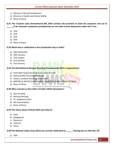- c) Ministry of Rural Development
- d) Ministry of Health and Family Welfar
- e) None of these

**Q.91 The Taxation Laws (Amendment) Bill, 2019 contains the provision to slash the corporate rate tax to \_\_\_\_\_\_% for domestic companies provided they do not claim certain deductions under the IT Act.**

- a) 15%
- b) 22%
- c) 25%
- d) 30%
- e) None of these

# **Q.92 Which day is celebrated as the Constitution Day in India?**

- a) 26th November
- b) 26th January
- c) 15th August
- d) 2nd October
- e) 31st January

# **Q.93 The 63rd National Shotgun Shooting Championship 2019 is organised by?**

- a) Field AND Target Shooting Association of India
- b) National Rifle Association of India
- c) Indian Crossbow Shooting Association
- d) RIMFIRE & AIR RIFLES BENCHREST SHOOTING ASSOCIATION OF INDIA
- e) None of these

# **Q.94 Who is known as the Father of India's White Revolution?**

- a) Sam Pit Roda
- b) Norman Borlaug
- c) Dr. Verghese Kurien
- d) MS Swaminathan
- e) None of these

#### **Q.95 The Ocean Dance Festival 2019 was held at?**

- a) India
- b) Bangladesh
- c) Myanmar
- d) Vietnam
- e) China

**Q.96 The National Cadet Corps (NCC) has recently celebrated its \_\_\_\_\_\_ Raising Day on 24th Nov 19?**

a) 70th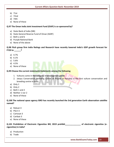- b) 71st
- c) 72nd
- d) 74th
- e) None of these

# **Q.97 The Oman India Joint Investment Fund (OIJIF) is co-sponsored by?**

- a) State Bank of India (SBI)
- b) State General Reserve Fund of Oman (SGRF)
- c) Both a and b
- d) Punjab National Bank
- e) None of the above

# **Q.98 Fitch group firm India Ratings and Research have recently lowered India's GDP growth forecast for FY20 to \_\_\_\_\_\_?**

- a) 4.7%
- b) 6.1%
- c) 5.6%
- d) 4.5%
- e) None of these

# **Q.99 Choose the current statement/statements among the following**

- 1. Vultures come in the category of endangered species
- 2. Jatayu Conservation Breeding Centre at Pinjore in Haryana is the first vulture conservation and breeding centre in India
- a) Only 1
- b) Only 2
- c) Both 1 and 2
- d) Neither 1 nor 2
- e) None of these

# **Q.100 The national space agency ISRO has recently launched the 3rd generation Earth observation satellite named?**

- a) Robsat-3
- b) PSLV-3
- c) Cartosat-3
- d) Cartbat-3
- e) None of these

**Q.101 Prohibition of Electronic Cigarettes Bill, 2019 prohibit\_\_\_\_\_\_\_\_\_\_\_\_\_\_ of electronic cigarettes (ecigarettes) in India?**

- a) Production
- b) Trade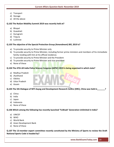- c) Transport
- d) Storage
- e) All the above

#### **Q.102 The NuGen Mobility Summit 2019 was recently held at?**

- a) Bhopal
- b) Guwahati
- c) Gurugram
- d) Tripura
- e) Lucknow

#### **Q.103 The objective of the Special Protection Group (Amendment) Bill, 2019 is?**

- a) To provide security to Prime Minister only
- b) To provide security to Prime Minister, including former prime ministers and members of his immediate family residing with him at his official residence.
- c) To provide security to Prime Minister and the President
- d) To provide security to Prime Minister and vice-president
- e) None of these

#### **Q.104 The 47th All India Police Science Congress (AIPSC) 2019 is being organised in which state?**

- a) Madhya Pradesh
- b) Jharkhand
- c) Odisha
- d) Uttar Pradesh
- e) Assam

**Q.105 The 5th Dialogue of NITI Aayog and Development Research Centre (DRC), China was held in\_\_\_\_\_\_\_?**

- a) China
- b) India
- c) Japan
- d) Indonesia
- e) None of these

#### **Q.106 Which among the following has recently launched 'YuWaah' Generation Unlimited in India?**

- a) UNICEF
- b) WHO
- c) World Bank
- d) Asian Development Bank
- e) None of these

**Q.107 The 13-member expert committee recently constituted by the Ministry of Sports to review the Draft National Sports Code is headed by?**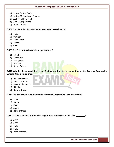- a) Justice Dr Ravi Ranjan
- b) Justice Mukundakam Sharma
- c) Justice Rekha Doshit
- d) Justice Sanju Panda
- e) None of these

#### **Q.108 The 21st Asian Archery Championships 2019 was held in?**

- a) India
- b) Vietnam
- c) Bangladesh
- d) Thailand
- e) China

#### **Q.109 The Corporation Bank is headquartered at?**

- a) Mumbai
- b) Bengaluru
- c) Mangalore
- d) Manipal
- e) None of these

# **Q.110 Who has been appointed as the Chairman of the steering committee of the Code for Responsible Lending (CRL) in micro-credit?**

- a) Harsh Shrivastava
- b) Srinivas Bonam
- c) Sonia Krishnankutty
- d) H R Khan
- e) None of these

#### **Q.111 The 2nd Annual India-Bhutan Development Cooperation Talks was held in?**

- a) India
- b) Bhutan
- c) China
- d) Japan
- e) None of these

# **Q.112 The Gross Domestic Product (GDP) for the second Quarter of FY20 is \_\_\_\_\_\_\_\_?**

- a) 4.3%
- b) 4.5%
- c) 4.7%
- d) 4.9%
- e) None of these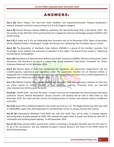# ANSWERS:

**Ans.1 (A)** Shiva Thapa is the four-time Asian medallist and outpunched Sanatali Toltayev, Kazakhstan's national champion and Asian bronze-winner by 5-0 in 63 kilogram category.

**Ans.2 (B)** Harvard Business Review (HBR) has published 'The Best-Performing CEOs in the World, 2019'. The list consists of top 100 CEOs of the world and the list is topped by American technology company NVIDIA's CEO Jensen Huang.

**Ans.3 (C)** 6 states and 3 UTs are celebrating their formation day on 1st November 2019. States of Karnataka, Kerala, Madhya Pradesh, Chhattisgarh, Punjab and Haryana are celebrating their formation day on 1st Nov.

**Ans.4 (B)** The Association of Southeast Asian Nations (ASEAN) is a group of ten member countries that encourages social, political and economic co-operation in the region. The theme of the summit is "Advancing Partnership for Sustainability".

**Ans.5 (D)** Department of Administrative Reforms and Public Grievances (DARPG), Ministry of Personnel, Public Grievances and Pensions is to launch a nation-wide online Hackathon 'Data-driven Innovation for Citizen Grievance Redressal' on 5th November 2019.

Ans.6 (C) Reserve Bank of India has reorganised the regulatory and supervisory Departments and has created separate supervisory and regulatory cadre. The supervision function for all financial entities is integrated into a unified Department of Supervision and the regulatory functions into a unified Department of Regulation with effect from 1st November 2019.

**Ans.7 (C)** UNESCO Creative Cities Network (UCCN) was created in 2004 and represents a network of cities that are active centres of cultural activities in their respective countries. Presently, there are total 246 cities inducted into UCCN around the world.

**Ans.8 (A)** "eCAPA 2019 - Art from the Heart" is India's first-ever Arts Exposition for Artists blessed with Down syndrome, Autism, Mental Retardation, Seizure Disorder and Dyslexia will be held in New Delhi on 2nd November 2019. The event will also connect the Divyang artists to mentors and eminent masters of different arts/crafts.

**Ans.9 (C)** South Africa defeated England in the world cup final by 2-12. The Rugby World Cup 2019 was held in YOKOHAMA, Japan from 20th September to 2nd November across 12 venues all across the country.

**Ans.10 (A)** International Monetary Fund (IMF) has said that South Asia, led by India, is moving towards becoming centre of global growth by 2040. IMF released the paper titled 'Is South Asia Ready for take-off? A sustainable and inclusive growth agenda,' on 4th November 2019.

**Ans.11 (A)** Pooja claimed India's second silver medal in wrestling in 53 kg after Ravinder won the first silver in 61 kg in the tournament. She was defeated by Japan's Haruna Okuno in the finals of the UWW Under-23 World Championships.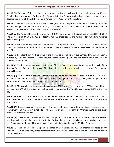**Ans.12 (B)** The focus of the exercise is on counter-terrorism and will continue till 13th November 2019 at Chirchiq Training Area near Tashkent. The Defence Minister Rajnath Singh affirmed India's commitment of developing a state-of-the-art IT complex in Armed Forces Academy of Uzbekistan.

**Ans.13 (C)** The India International Science Festival (IISF) 2019, is organized jointly by the Ministry of science and technology and Vijnana Bharati (Vibha). The theme of this annual event for 2019 is "RISEN India -Research, Innovation, and Science Empowering the Nation".

**Ans.14 (A)** The National Disaster Response Force (NDRF), Government of India is hosting the (SCOJTEX)-2019. The main focus of (SCOJTEX)-2019 is to test the region's preparedness and resilience for immediate response against earthquake.

**Ans.15 (B)** The Lifetime Achievement Award carries a cash prize of INR 10,000,00/-. She has worked in more than 120 films since her debut in 1971 and has won the César Award for Best Actress twice, for La Cérémonie and Elle.

**Ans.16 (C)** Rajinikanth got his first break in the movies as a small role in the Kannada film Katha Sangama, directed by Puttanna Kanagal. He was honoured Padma Bhushan (2000) and the Padma Vibhushan (2016) by the Government of India.

Ans.17 (C) The documentary depicted the journey of former Rangers ace David Robertson as the coach of Real Kashmir Football Club. In its first season, FC finished third in the I-League, which is currently India's second tier football league.

**Ans.18 (D)** GV-971 drug is the only Alzheimer's medicine to survive clinical trials, out of more than 320 developed by pharmaceutical companies around the globe. China has the highest people in the world suffering from Alzheimer's, roughly 10 million people.

**Ans.19 (C)** RBI has said that if the variable pay is up to 200% of the fixed pay, at least 50% of it should be in non-cash and 67% of the variable pay will be paid in non-cash, if the variable pay is above 200% of the fixed pay.

**Ans.20 (D)** Finance Minister Nirmala Sitharaman has launched two new IT Initiatives - ICEDASH and ATITHI on 4th November 2019. Both the apps will reduce interface and increase the transparency of Customs functioning.

**Ans.21 (A)** Deepak secured the bronze in the men's 10 metres air rifle while Bhaker secured gold in the women's 10 metres air pistol. He is the 2nd Indian shooter to earn an Olympic quota in the event after Divyansh Singh Panwar.

**Ans.22 (C)** Environment, Forest & Climate Change and Information & Broadcasting Minister Prakash Javadekar will attend the meet from India. During the visit to Bangladesh, the Minister will also visit Bangabandhu Memorial Museum to pay respects to Bangabandhu Sheikh Mujibur Rahman.

**Ans.23 (C)** The Paris accord is an agreement signed by 188 nations in 2015 and entered into force on 4th November 2016 to keep rising global temperatures below 2 Celsius above pre-industrial levels and limit them to 1.5 Celsius rise.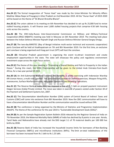**Ans.24 (C)** The formal inauguration of "Hunar Haat" was made by the Union Minister for Minority Affairs Mukhtar Abbas Naqvi at Prayagraj in Uttar Pradesh on 2nd November 2019. All the "Hunar Haat" of 2019-2020 will be based on the theme of "Ek Bharat Shrestha Bharat".

**Ans.25 (C)** The union cabinet in its meeting on 6th November has decided to set up Rs 25,000 fund to revive stalled housing projects. It will finance over 1,600 stalled housing projects that comprise 4.58 lakh housing units across the country.

**Ans.26 (B)** The 19th India-Russia Inter-Governmental Commission on Military and Military-Technical Cooperation (IRIGC-M&MTC) meeting was held in Moscow on 6th November 2019. The meeting took place between the Indian Defence Minister Rajnath Singh and Russian Defence Minister General Sergey Shoigu.

**Ans.27 (B)** The two-day BIMSTEC (Bay of Bengal initiative multi-sector technical and economic cooperation) ports Conclave will be held at Visakhapatnam on 7th and 8th November 2019. For the first time, an exclusive port conclave is being organised and Vizag port trust (VPT) will host the conclave.

**Ans.28 (D)** Himachal Pradesh government is organising the event to attract investment and create employment opportunities in the state. The state will showcase the policy and regulatory environment investment scope across the eight focus sectors.

**Ans.29 (C)** The theme of this year meeting is "Promoting a Shared Destiny and Path to Prosperity in the Indian Ocean." During this meet, the IORA Chairmanship will be given to the United Arab Emirates from South Africa, for a two year period till 2021.

**Ans.30 (A)** An Anti-Submarine Warfare Corvette, INS Kamorta, is jointly exercising with Indonesian Warship KRI Usman Harun, a multi-role Corvette. The joint exercises include Air Defence exercises, Weapon firing drills, manoeuvres, Surface Warfare exercises, Helicopter Operations and Boarding Operations.

**Ans.31 (C)** The Reserve Bank of India (RBI) has imposed a fine of Rs 5 lakh on prepaid payment instrument Oxigen Services (India) Private Limited. The move was taken in exercise of powers vested under Section 30 of the Payment and Settlement Systems Act, 2007.

**Ans.32 (C)** The Documentation Identification Number (DIN) system of Central Board of Indirect Taxes and Customs (CBIC) will come into existence from 8th November 2019. Now the CBIC communication will have to have a Documentation Identification Number and No communication would be issued without DIN.

**Ans.33 (B)** The conference is being organised by the Ministry of Statistics and Programme Implementation (MoSPI). The theme of the conference for the year 2019 is "Sustainable Development Goals (SDGs)".

**Ans.34 (B)** As per the Sample Registration System Bulletin-2016 released by the Registrar General of India on 7th November 2019, the Maternal Mortality Ratio (MMR) of India has declined by 8 points in one year. Kerala, Tamil Nadu and Maharashtra have already met the SDG target 3.1 of 70 maternal deaths per 100 000 live births by 2030.

**Ans.35 (B)** Reserve Bank of India has increased the household income limits for borrowers of Non-Banking Financial Companies (NBFCs) and microfinance institutions (MFIs). The limit on total indebtedness of the borrower has been increased from Rs 1 lakh to Rs 1.25 lakh.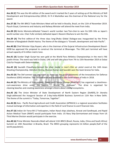**Ans.36 (C)** This was the 4th edition of the award and it marked the 5 years of setting up of the Ministry of Skill Development and Entrepreneurship (2014). Dr R A Mashelkar was the chairman of the National Jury for the award.

**Ans.37 (B)** The 9th BRICS Trade Ministers Meet will be held in Brasilia, Brazil, on the 11th of November 2019. Piyush Goyal, Commerce and Industry and Railway Minister will attend the meet from India.

**Ans.38 (D)** Kento Momota defeated Taiwan's world number two Tien-chen to won his 10th title as Japan's world number one. Chen Yufei similarly defeated Japan's Nozomi Okuhara to win the title.

**Ans.39 (A)** The first edition of the three days long Dhaka Global Dialogue was inaugurated by the Prime Minister of Bangladesh Sheikh Hasina. The theme of the dialogue is "Growth, development and Indo-Pacific".

**Ans.40 (B)** Chief Minister Vijay Rupani, who is the chairman of the Gujarat Infrastructure Development Board-GIDB has approved the proposal to construct the terminal at Bhavnagar. The CNG port terminal will have annual capacity of 6 million matric tone.

**Ans.41 (A)** Sundar Singh Gurjar has won gold at the World Para Athletics Championships in the men's F46 javelin throw. The event was held in Dubai, UAE and will take place from 7th to 15th November 2019 at Dubai Club for People with Determination.

Ans.42 (A) Saurabh Chaudhary claimed the silver medal in men's 10m air pistol event at the 14th Asian Shooting Championship. Abhishek Verma, Sharvan Kumar and Saurabh won the team bronze for India.

**Ans.43 (D)** The Def-connect was organised to showcase the accomplishments of the Innovations for Defence Excellence (iDEX) initiative. The iDEX initiative was launched by the Government of India in 2018.

**Ans.44 (D)** The Ministry of Environment, Forest and Climate Change (MoEF&CC) has organised a cleanlinesscum-awareness drive under the "Swachh – Nirmal Tat Abhiyaan". The drive is organised for cleaning beaches and creating awareness amongst citizens about coastal ecosystems.

**Ans.45 (A)** The Union Minister of State Development of North Eastern Region (DoNER), Dr Jitendra Singh addressed the Inaugural Session of 2-day India-ASEAN Business Summit on 11th Nov in New Delhi. The theme of the summit is "Today, Tomorrow, Together".

**Ans.46 (B)** Asia - Pacific Rural Agricultural and Credit Association (APRACA) is a regional association facilitates mutual exchange of information and expertise in the field of rural finance to avert financial risks.

**Ans.47 (A)** Indian Air Force MI-17 helicopters, Indian Naval ships Jalashwa, Airavat and Sandhayak, and Rapid Action Medical Team (RAMT) would participate from India. US Navy Ship Germantown and troops from US Third Marine Division would participate in the exercise.

**Ans.48 (A)** Prime Minister Narendra Modi will attend 11th BRICS (Brazil, Russia, India, China and South Africa) Summit on 14th November in Brasilia, Brazil. The BRICS grouping represents 3.6 billion people (half of the world population).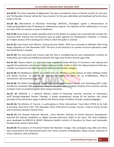**Ans.49 (E)** 'The Islamic Republic of Afghanistan' has been accorded the status of 'Partner Country' for this year and 'The Republic of Korea' will be the 'Focus Country' for this year while Bihar and Jharkhand will be the focus states in the fair.

**Ans.50 (B)** CSIR-Institute of Microbial Technology (IMTECH), Chandigarh signed a Memorandum of Understanding (MoU) with IIT Bombay for collaborative research. The objective of the collaboration is to carry out state of the art research in areas of healthcare.

**Ans.51 (B)** Social Audit is a public assembly where all the details of a project are scrutinized that includes the resources, both financial and non-financial, used by public agencies for development initiatives. It involves an in-depth analysis of the working of an entity in which the public is involved.

**Ans.52 (C)** Indo-French Joint Military Training Exercise Shakti– 2019 was concluded at Mahajan Field Firing Range, Rajasthan on 13th November 2019. The focus of the exercise is on counter-terrorism operations under the United Nations mandate.

**Ans.53 (D)** The web portal and e-Ganna App will help in strengthening the cane development societies by eradicating cane mafia and middleman between the sugar cane farmers and the sugar mills.

**Ans.54 (D)** Tobacco Board is a statutory body established under Ministry of Commerce and Industry and regulate the production and curing of Virginia tobacco in India. Earlier in 2014, the Tobacco Board of India won a Golden Leaf Award in the Most Impressive Public Service Initiative category.

**Ans.55 (B)** The Madhepura Electric Locomotive Pvt. Ltd. (MELPL) is a joint venture of Indian Railways (India) and Alstom (France). As part of the project, the factory has been set up in Madhepura, Bihar to manufacture 120 locomotives per year.

**Ans.56 (B)** The Global Cooling Prize is organized by the Department of Science and Technology (DST) under the Mission Innovation (MI) programme. Mission Innovation (MI) is a global initiative of 24 countries and the European Union to accelerate global clean energy innovation.

**Ans.57 (C)** NISHTHA is a National Mission aimed at "Improving learning outcomes at Elementary level" through Integrated Teacher Trainings. It brings competencies among all the teachers and school principals at the elementary stage to address the diverse needs of children through multiple pedagogies.

**Ans.58 (A)** The Ministry of Tourism, is participating at China International Travel Mart (CITM) to be held at Kunming, China from 15th -17th November 2019. CITM aims to increase Tourism, Trade & Tourist arrivals and investments between India & China.

**Ans.59 (C)** Shri Ramesh Pokhriyal 'Nishank', Union Minister, Ministry of Human Resource Development launched the 'Industry Guidelines on Digital Learning (discussion draft)' at the event. The Draft Guidelines were developed by UNESCO & MGIEP (Mahatma Gandhi Institute of Education for Peace and Sustainable Development), based in New Delhi.

**Ans.60 (D)** The products of Arunachal Pradesh like Mandarin oranges, kiwi, pineapple, king chilly and others were showcased to the International buyers from seven countries of Bangladesh, Nepal, Greece, Sultanate of Oman, Indonesia, UAE and Bhutan.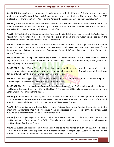**Ans.61 (B)** The conference is organized in collaboration with the Ministry of Statistics and Programme Implementation, ADB, World Bank, AfDB and various other organizations. The theme of ICAS for 2019 is 'Statistics for Transformation of Agriculture to Achieve the Sustainable Development Goals (SDGs)'.

**Ans.62 (C)** Vice President M. Venkaiah Naidu awarded the 'National Awards for Excellence in Journalism 2019' at New Delhi on the National Press Day on 16th November 2019. The 'National Awards for Excellence in Journalism 2019' was organized by the Press Council of India.

**Ans.63 (A)** The Ministry of Consumer Affairs, Food and Public Distribution have released the Water Quality Report for State Capitals & UT. The study on the quality of piped drinking water being supplied in the country is undertaken by the Bureau of India Standards (BIS).

**Ans.64 (C)** Union Minister for Health & Family Welfare Dr Harsh Vardhan, has inaugurated the 6th National Summit on Good, Replicable Practices and Innovations at Gandhinagar (Gujarat). SAANS campaign "Social Awareness and Action to Neutralise Pneumonia Successfully" was launched at the Summit to control Pneumonia.

**Ans.65 (D)** The Concept Paper to establish the ADMM-Plus was adopted in the 2nd ADMM, which was held in Singapore in 2007. The current Chairman of the ADMM-Plus is H.E. Gen. Prawit Wongsuwon (Minister of Defence), Kingdom of Thailand.

**Ans.66 (D)** The first Winter-Grade Diesel was launched to avoid the problem of freezing of diesel in the vehicles when winter temperatures drop to as low as -30 degree Celsius. Normal grade of Diesel loses its fluidity function in the extreme winter weather of the region.

**Ans.67 (C)** India has bagged the best-ever nine medals haul at the World Para Athletics Championship. India scored two gold, two silver and five bronze medals in the event.

**Ans.68 (C)** The Bilateral Maritime Exercise Za'ir-Al-Bahr (Roar of the Sea) is being conducted between the Navies of India and Qatar from 17th to 21st Nov 19. The exercise will be held between the Indian Navy and Qatari Emiri Naval Forces in Doha, Qatar.

**Ans.69 (C)** Government of India signed a \$ 91 million loan with the Asian Development Bank (ADB) for Comprehensive Water Management in Karnataka. The first project is helping the modernization of the Gondi irrigation system and the second Project to modernize Vijayanagara Channel.

**Ans.70 (D)** The tourism arm of Indian Railways, Indian Railway Catering and Tourism Corporation Limited, is organising the "Heritage Week". The "Heritage Week" is celebrated on the occasion of World Heritage Week 2019 which is observed from 19th to 25th November 2019.

**Ans.71 (C)** The Target Olympic Podium (TOP) Scheme was formulated in July 2014, under the ambit of the National Sports Development Fund (NSDF). The scheme aims to identify and prepare potential players for the Olympic and Paralympic Games.

**Ans.72 (A)** Justice Bobde succeeded Justice Ranjan Gogoi as he was retired on 17th Nov 19. Justice Bobde is the senior-most Judge in the Supreme Court in hierarchy after CJI Ranjan Gogoi. Justice Bobde will hold the office of CJI for a tenure of around 18 months till his retirement on April 23, 2021.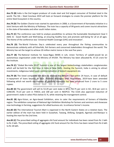**Ans.73 (B)** India is the 2nd largest producer of crude steel and 3rd largest consumer of finished steel in the world. The ISA – Steel Conclave 2019 will look on forward strategies to create the premier platform for the entire Steel Ecosystem in the country.

**Ans.74 (D)** The Golden Chariot train started its operations in 2008, is a Government of Karnataka initiative in a Joint Venture with the Ministry of Railways. The train has a capacity of 84 guests and covers tourist attractions in the state of Karnataka and other south Indian states.

**Ans.75 (C)** The conference was held to analyse possibilities to achieve the Sustainable Development Goal 3 (SDG 3) - Good Health and Well-being, at ensuring healthy lives and promote well-being for all at all ages. The theme of the conference was 'Universal Health Coverage (UHC) and innovation'.

**Ans.76 (D)** The World Fisheries Day is celebrated every year throughout the fishing communities to demonstrate solidarity with all fisherfolk, fish farmers and concerned stakeholders throughout the world. The Ministry has set the target to achieve 20 million metric tonne in the next five years.

**Ans.77 (B)** The National Institute for Sowa-Rigpa (NISR) in Leh, Union Territory of Ladakh would be an autonomous organization under the Ministry of AYUSH. The Ministry has been allocated Rs. 47.25 crore for the Institute.

**Ans.78 (C)** "Global Bio-India 2019" Summit is one of the largest biotechnology stakeholders conglomerates which will be held for the first time in India at New Delhi. Hosting the Summit, India is aiming to attract investments, indigenous talent pool, commercialization of biotech equipment etc.

**Ans.79 (B)** The listed companies will have to disclose the default's fact within 24 hours, in case of default in repayment of loans beyond 30 days. Portfolio Managers (PM) Regulations, 2019 have been amended following which net worth requirement of portfolio managers has been enhanced from 2 crore to 5 crore rupees.

**Ans.80 (E)** The government will sell its 53.29 per cent stake in BPCL, 63.75 per cent in SCI, 30.8 per cent in CONCOR, 74.23 per cent in THDCIL and 100 per cent in NEEPCO. The CCEA also approved reduction of government's stake in select PSUs below 51 %, while retaining the management control.

**Ans.81 (B)** Agro-Vision, an Agro-based Exhibition, aims to cater the requirements of farmers of Vidarbha region. The exhibition comprises of National Agri-Exhibition Workshop for farmers and seminars and showcase new technology in farming, suggestions for allied business etc. to enhance farmer's income.

**Ans.82 (D)** The International Tourism Mart is organised in the North Eastern States on a rotation basis. The earlier edition of the mart has been held in Guwahati, Tawang, Shillong, Gangtok, Agartala and Manipur is hosting the mart for the 2nd time.

**Ans.83 (C)** The prescribed ceiling of aggregate chit fund amount for individuals has been raised from Rs 1 lakh to Rs 3 lakh. The prescribed ceiling of aggregate chit fund amount for the firms has been raised from Rs 6 lakh to Rs 18 lakh.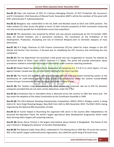**Ans.84 (E)** Rajiv Lall, chairman of IDFC, N S Kannan, Managing Director of ICICI Prudential Life Insurance's and N S Venkatesh, Chief Executive of Mutual Funds' Association AMFI's will be the members of the panel with DHFL administrator R. Subramaniakumar.

**Ans.85 (E)** Bengaluru was ranked 83rd in the list, Delhi and Mumbai stood at 101st and 107th position. The Index ranked 113 cities across the globe in terms of their inclusive prosperity of their economies measuring not only economic growth but its distribution across their population.

**Ans.86 (E)** The declaration was proposed by Britain and was passed unanimously by the 15-member UNSC body (10 elected members and 5 permanent members). The Convention on the Prohibition of the Development, Production, Stockpiling and Use of Chemical Weapons aims to eliminate weapons of mass destruction.

**Ans.87 (A)** N K Singh, Chairman of 15th Finance Commission (FC) has called for major changes in the GST (Goods and Service Tax) structure. It focused was on simplifying the GST structure and minimising the cost compliance.

**Ans.88 (C)** The tax department has launched a web portal and was inaugurated on Income Tax website by the Central Board of Direct Taxes (CBDT) Chairman P C Mody. The portal will provide information about procedures related to automatic exchange of information under common reporting standards.

**Ans.89 (C)** Rafael Nadal has defeated Denis Shapovalov of Canada by 6-3, 7-6 (9-7) to clinch Spain's 2-0 win against Canada. Canada was the 1st time finalist fighting for the Davis Cup title.

**Ans.90 (B)** The Portal will provide a robust and transparent real-time web-based monitoring system to the beneficiaries of credit-linked Subsidy Services (CLSS). The beneficiaries under the scheme include Middle Income Groups, Economically Weaker Sections, and Lower Income Groups.

**Ans.91 (B)** The Taxation Laws (Amendment) Bill, 2019 slashes the corporate rate tax to 22% for domestic companies provided they do not claim certain deductions under the IT Act.

**Ans.92 (A)** Constitution Day or Samvidhan divas is observed across the country on 26th Nov every year. The day marks the adoption of the Indian Constitution by the Constituent Assembly in 1949.

**Ans.93 (B)** The 63rd National Shooting Championship Competitions (NSCC) 2019 in Shotgun events is being held at Dr. Karni Singh Shooting Ranges, New Delhi from 16th to 30th November 2019. The NSCC 2019 is being organized by the National Rifle Association of India.

**Ans.94 (C)** Dr Kurien helped in flourishing the organized milk sector in the country after Independence. He launched the Operation Flood, the world's largest agricultural dairy development programme, which made dairy farming India's largest self-sustaining industry.

**Ans.95 (B)** Ocean Dance Festival is the largest international dance festival of Bangladesh. The theme of this year's festival is 'Bridging the distance' or Durotter Shetubandhan.

**Ans.96 (B)** The National Cadet Corps (NCC), celebrated its 71st Raising Day on 24th Nov 19 across the country. NCC is the world's largest uniformed youth organization, also called the youth wing of Armed Forces.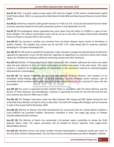**Ans.97 (C)** OIJIF, a growth capital private equity (PE) fund has bought a 9.9% stake in Punjab-based Capital Small Finance Bank. OIJIF is co-sponsored by State Bank of India (SBI) and State General Reserve Fund of Oman (SGRF).

**Ans.98 (C)** Ind-Ra has revised its GDP growth forecast for FY20 to 5.6 %. It has also forecasted that the Indian economy may have slowed for the sixth consecutive quarter in July-September to 4.7%.

**Ans.99 (C)** The endangered vulture population has come down from 40 million to 19,000 in a span of over three decades. The vulture conservation centre will be set up on the lines of Jatayu Conservation Breeding Centre at Pinjore in Haryana (first in the country).

**Ans.100 (C)** The Cartosat-3 satellite was launched from the Satish Dhawan Space Centre at Sriharikota in Andhra Pradesh. The satellite was carried out by the PSLV C-47 rocket along with 13 customer payloads belonging to a US space technology firm.

**Ans.101 (E)** The Bill seeks to prohibit the production, trade, transport, storage and advertisement of electronic cigarettes (e-cigarettes). As per the bill, electronic cigarettes (e-cigarettes) is an electronic device that creates vapour for inhalation by heating a substance containing nicotine and other chemicals.

**Ans.102 (C)** Minister of Heavy Industries & Public Enterprises Nitin Gadkari addressed the event and called upon the auto industry to focus on future technologies as skilled man-power in the auto sector. This event served as a platform for bringing together all stakeholders in the automotive industry to understand global advancements in technologies.

**Ans.103 (B)** The Special Protection Group will provide security to Prime Minister, and members of his immediate family residing with him at his official residence. Security to former prime ministers, and his immediate family members residing with him at the residence allotted to him for a period of 5 years will also be provided.

**Ans.104 (D)** The event is organised by Uttar Pradesh Police in association with the Home Ministry and the Bureau of Police Research and Development. Lucknow is organising the event for the 2nd time and the last time Lucknow was host for AIPSC was in 1997.

**Ans.105 (A)** The Dialogue took place under the MoU between NITI Aayog and DRC signed during the visit of Hon'ble Prime Minister of India to China in May 2015. The Sixth NITI Aayog–DRC Dialogue will be convened in India in the second half of November 2020.

**Ans.106 (A)** Ministry of Women and Child Development has announced that the United Nations Children's Fund (UNICEF) has launched 'YuWaah' Generation Unlimited in India. The target age group of YuWaah includes adolescent girls and boys.

**Ans.107 (B)** The Ministry of Sports has constituted a 13-member expert committee to review the Draft National Sports Code. The expert committee will be headed by former Supreme Court judge Justice Mukundakam Sharma.

**Ans.108 (D)** Abhishek Verma and Jyothi Surekha Vennam claimed gold in compound mixed pair event at the 21st Asian Archery Championships. The 21st Asian Archery Championships was held in Bangkok, Thailand.